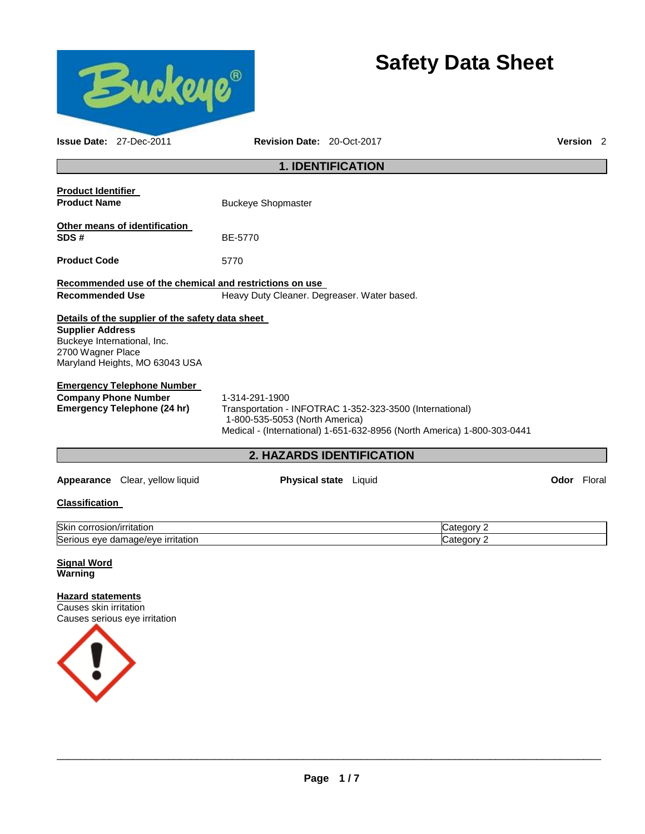

# **Safety Data Sheet**

| <b>Issue Date: 27-Dec-2011</b>                                                                                                                                    | Revision Date: 20-Oct-2017                                                                                   |                              |                                                                         | <b>Version</b> 2   |  |
|-------------------------------------------------------------------------------------------------------------------------------------------------------------------|--------------------------------------------------------------------------------------------------------------|------------------------------|-------------------------------------------------------------------------|--------------------|--|
|                                                                                                                                                                   |                                                                                                              | <b>1. IDENTIFICATION</b>     |                                                                         |                    |  |
| <b>Product Identifier</b><br><b>Product Name</b>                                                                                                                  | <b>Buckeye Shopmaster</b>                                                                                    |                              |                                                                         |                    |  |
| Other means of identification<br>SDS#                                                                                                                             | BE-5770                                                                                                      |                              |                                                                         |                    |  |
| <b>Product Code</b>                                                                                                                                               | 5770                                                                                                         |                              |                                                                         |                    |  |
| Recommended use of the chemical and restrictions on use                                                                                                           |                                                                                                              |                              |                                                                         |                    |  |
| <b>Recommended Use</b>                                                                                                                                            | Heavy Duty Cleaner. Degreaser. Water based.                                                                  |                              |                                                                         |                    |  |
| Details of the supplier of the safety data sheet<br><b>Supplier Address</b><br>Buckeye International, Inc.<br>2700 Wagner Place<br>Maryland Heights, MO 63043 USA |                                                                                                              |                              |                                                                         |                    |  |
| <b>Emergency Telephone Number</b><br><b>Company Phone Number</b><br><b>Emergency Telephone (24 hr)</b>                                                            | 1-314-291-1900<br>Transportation - INFOTRAC 1-352-323-3500 (International)<br>1-800-535-5053 (North America) |                              | Medical - (International) 1-651-632-8956 (North America) 1-800-303-0441 |                    |  |
|                                                                                                                                                                   |                                                                                                              | 2. HAZARDS IDENTIFICATION    |                                                                         |                    |  |
| Appearance Clear, yellow liquid                                                                                                                                   |                                                                                                              | <b>Physical state</b> Liquid |                                                                         | <b>Odor</b> Floral |  |
| <b>Classification</b>                                                                                                                                             |                                                                                                              |                              |                                                                         |                    |  |
| Skin corrosion/irritation                                                                                                                                         |                                                                                                              |                              | Category 2                                                              |                    |  |
| Serious eye damage/eye irritation                                                                                                                                 |                                                                                                              |                              | Category 2                                                              |                    |  |
| <b>Signal Word</b><br><b>Warning</b>                                                                                                                              |                                                                                                              |                              |                                                                         |                    |  |
| <b>Hazard statements</b><br>Causes skin irritation<br>Causes serious eye irritation                                                                               |                                                                                                              |                              |                                                                         |                    |  |
|                                                                                                                                                                   |                                                                                                              |                              |                                                                         |                    |  |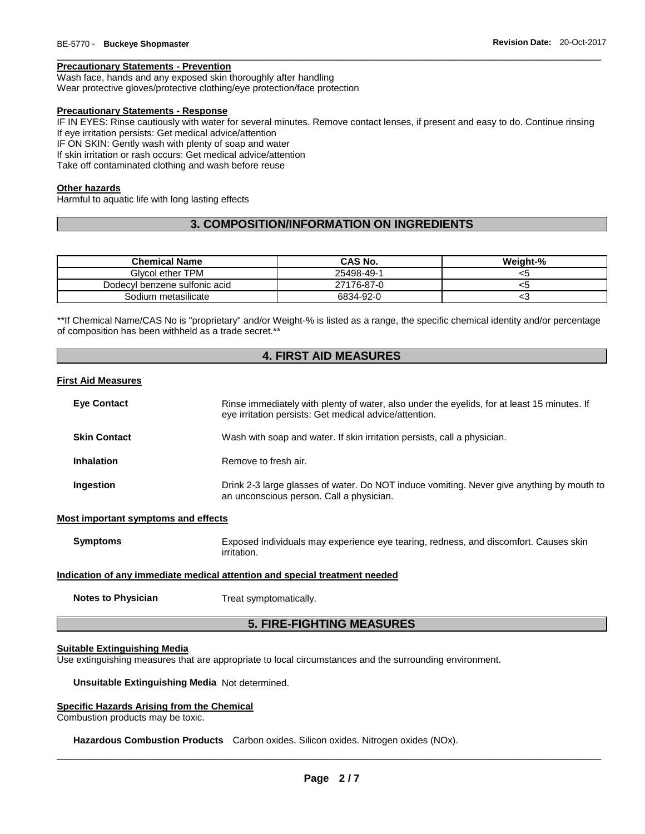## **Precautionary Statements - Prevention**

Wash face, hands and any exposed skin thoroughly after handling Wear protective gloves/protective clothing/eye protection/face protection

#### **Precautionary Statements - Response**

IF IN EYES: Rinse cautiously with water for several minutes. Remove contact lenses, if present and easy to do. Continue rinsing If eye irritation persists: Get medical advice/attention

\_\_\_\_\_\_\_\_\_\_\_\_\_\_\_\_\_\_\_\_\_\_\_\_\_\_\_\_\_\_\_\_\_\_\_\_\_\_\_\_\_\_\_\_\_\_\_\_\_\_\_\_\_\_\_\_\_\_\_\_\_\_\_\_\_\_\_\_\_\_\_\_\_\_\_\_\_\_\_\_\_\_\_\_\_\_\_\_\_\_\_\_\_

IF ON SKIN: Gently wash with plenty of soap and water

If skin irritation or rash occurs: Get medical advice/attention

Take off contaminated clothing and wash before reuse

#### **Other hazards**

Harmful to aquatic life with long lasting effects

# **3. COMPOSITION/INFORMATION ON INGREDIENTS**

| <b>Chemical Name</b>          | <b>CAS No.</b> | Weight-% |
|-------------------------------|----------------|----------|
| Givcol ether TPM              | 25498-49-1     | <5       |
| Dodecyl benzene sulfonic acid | 27176-87-0     | <5       |
| Sodium metasilicate           | 6834-92-0      | ເວ       |

\*\*If Chemical Name/CAS No is "proprietary" and/or Weight-% is listed as a range, the specific chemical identity and/or percentage of composition has been withheld as a trade secret.\*\*

# **4. FIRST AID MEASURES**

#### **First Aid Measures**

|                                            | <b>5. FIRE-FIGHTING MEASURES</b>                                                                                                                      |
|--------------------------------------------|-------------------------------------------------------------------------------------------------------------------------------------------------------|
| <b>Notes to Physician</b>                  | Treat symptomatically.                                                                                                                                |
|                                            | <u>Indication of any immediate medical attention and special treatment needed</u>                                                                     |
| <b>Symptoms</b>                            | Exposed individuals may experience eye tearing, redness, and discomfort. Causes skin<br>irritation.                                                   |
| <b>Most important symptoms and effects</b> |                                                                                                                                                       |
| Ingestion                                  | Drink 2-3 large glasses of water. Do NOT induce vomiting. Never give anything by mouth to<br>an unconscious person. Call a physician.                 |
| <b>Inhalation</b>                          | Remove to fresh air.                                                                                                                                  |
| <b>Skin Contact</b>                        | Wash with soap and water. If skin irritation persists, call a physician.                                                                              |
| <b>Eye Contact</b>                         | Rinse immediately with plenty of water, also under the eyelids, for at least 15 minutes. If<br>eye irritation persists: Get medical advice/attention. |
|                                            |                                                                                                                                                       |

## **Suitable Extinguishing Media**

Use extinguishing measures that are appropriate to local circumstances and the surrounding environment.

**Unsuitable Extinguishing Media** Not determined.

## **Specific Hazards Arising from the Chemical**

Combustion products may be toxic.

**Hazardous Combustion Products** Carbon oxides. Silicon oxides. Nitrogen oxides (NOx).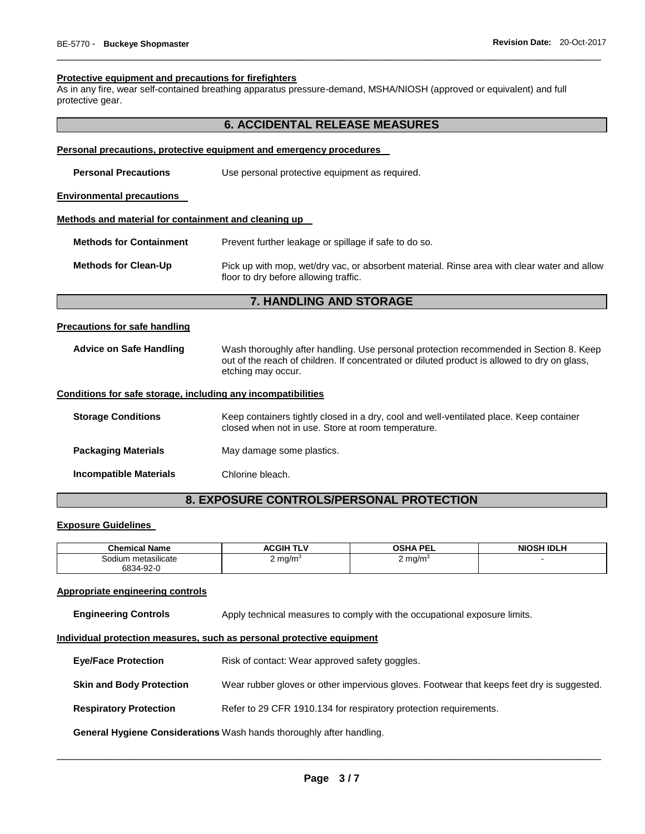#### **Protective equipment and precautions for firefighters**

As in any fire, wear self-contained breathing apparatus pressure-demand, MSHA/NIOSH (approved or equivalent) and full protective gear.

# **6. ACCIDENTAL RELEASE MEASURES**

\_\_\_\_\_\_\_\_\_\_\_\_\_\_\_\_\_\_\_\_\_\_\_\_\_\_\_\_\_\_\_\_\_\_\_\_\_\_\_\_\_\_\_\_\_\_\_\_\_\_\_\_\_\_\_\_\_\_\_\_\_\_\_\_\_\_\_\_\_\_\_\_\_\_\_\_\_\_\_\_\_\_\_\_\_\_\_\_\_\_\_\_\_

#### **Personal precautions, protective equipment and emergency procedures**

| <b>Personal Precautions</b>                          | Use personal protective equipment as required.                                                                                       |
|------------------------------------------------------|--------------------------------------------------------------------------------------------------------------------------------------|
| <b>Environmental precautions</b>                     |                                                                                                                                      |
| Methods and material for containment and cleaning up |                                                                                                                                      |
| <b>Methods for Containment</b>                       | Prevent further leakage or spillage if safe to do so.                                                                                |
| <b>Methods for Clean-Up</b>                          | Pick up with mop, wet/dry vac, or absorbent material. Rinse area with clear water and allow<br>floor to dry before allowing traffic. |
|                                                      | <b>7. HANDLING AND STORAGE</b>                                                                                                       |

#### **Precautions for safe handling**

**Advice on Safe Handling** Wash thoroughly after handling. Use personal protection recommended in Section 8. Keep out of the reach of children. If concentrated or diluted product is allowed to dry on glass, etching may occur.

## **Conditions for safe storage, including any incompatibilities**

| <b>Storage Conditions</b>     | Keep containers tightly closed in a dry, cool and well-ventilated place. Keep container<br>closed when not in use. Store at room temperature. |
|-------------------------------|-----------------------------------------------------------------------------------------------------------------------------------------------|
| <b>Packaging Materials</b>    | May damage some plastics.                                                                                                                     |
| <b>Incompatible Materials</b> | Chlorine bleach.                                                                                                                              |

# **8. EXPOSURE CONTROLS/PERSONAL PROTECTION**

#### **Exposure Guidelines**

| <b>Chemical Name</b>       | τ∟ν<br>∴GIH<br>л.       | <b>OSHA PEL</b>               | <b>NIOSH IDLH</b> |
|----------------------------|-------------------------|-------------------------------|-------------------|
| <br>metasilicate<br>Sodium | $2 \text{ mg/m}$<br>. . | ma/m <sup>3</sup><br><u>_</u> |                   |
| 6834-92-0                  |                         |                               |                   |

#### **Appropriate engineering controls**

**Engineering Controls Apply technical measures to comply with the occupational exposure limits.** 

#### **Individual protection measures, such as personal protective equipment**

**Eye/Face Protection Risk of contact: Wear approved safety goggles. Skin and Body Protection** Wear rubber gloves or other impervious gloves. Footwear that keeps feet dry is suggested. **Respiratory Protection Refer to 29 CFR 1910.134 for respiratory protection requirements.** 

**General Hygiene Considerations** Wash hands thoroughly after handling.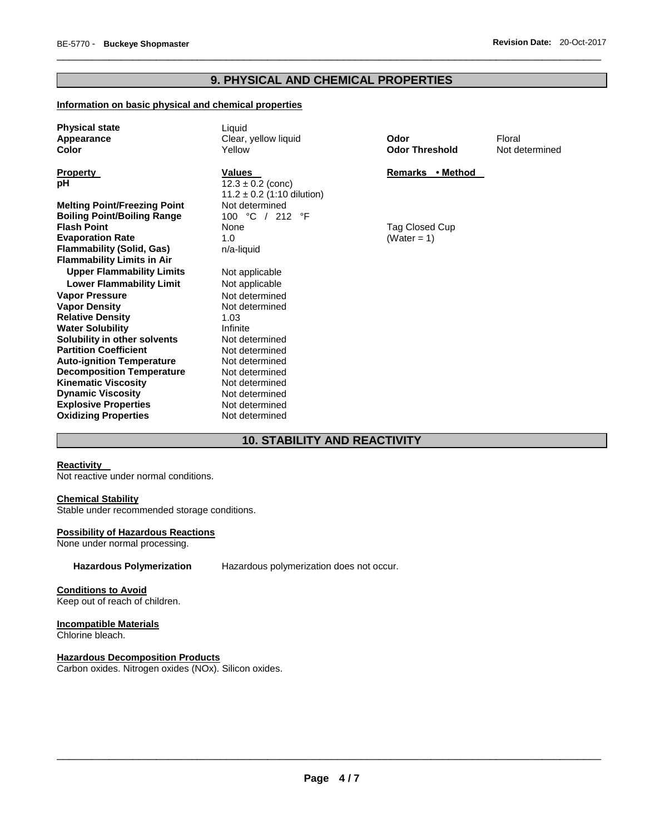# **9. PHYSICAL AND CHEMICAL PROPERTIES**

\_\_\_\_\_\_\_\_\_\_\_\_\_\_\_\_\_\_\_\_\_\_\_\_\_\_\_\_\_\_\_\_\_\_\_\_\_\_\_\_\_\_\_\_\_\_\_\_\_\_\_\_\_\_\_\_\_\_\_\_\_\_\_\_\_\_\_\_\_\_\_\_\_\_\_\_\_\_\_\_\_\_\_\_\_\_\_\_\_\_\_\_\_

# **Information on basic physical and chemical properties**

| <b>Physical state</b><br>Appearance<br>Color           | Liquid<br>Clear, yellow liquid<br>Yellow                | Odor<br><b>Odor Threshold</b> | Floral<br>Not determined |
|--------------------------------------------------------|---------------------------------------------------------|-------------------------------|--------------------------|
| <b>Property</b>                                        | <b>Values</b>                                           | Remarks • Method              |                          |
| рH                                                     | $12.3 \pm 0.2$ (conc)<br>$11.2 \pm 0.2$ (1:10 dilution) |                               |                          |
| <b>Melting Point/Freezing Point</b>                    | Not determined                                          |                               |                          |
| <b>Boiling Point/Boiling Range</b>                     | 100 °C / 212 °F                                         |                               |                          |
| <b>Flash Point</b>                                     | None                                                    | Tag Closed Cup                |                          |
| <b>Evaporation Rate</b>                                | 1.0                                                     | (Water = 1)                   |                          |
| <b>Flammability (Solid, Gas)</b>                       | n/a-liquid                                              |                               |                          |
| <b>Flammability Limits in Air</b>                      |                                                         |                               |                          |
| <b>Upper Flammability Limits</b>                       | Not applicable                                          |                               |                          |
| <b>Lower Flammability Limit</b>                        | Not applicable                                          |                               |                          |
| <b>Vapor Pressure</b>                                  | Not determined                                          |                               |                          |
| <b>Vapor Density</b>                                   | Not determined                                          |                               |                          |
| <b>Relative Density</b>                                | 1.03                                                    |                               |                          |
| <b>Water Solubility</b>                                | Infinite                                                |                               |                          |
| Solubility in other solvents                           | Not determined                                          |                               |                          |
| <b>Partition Coefficient</b>                           | Not determined                                          |                               |                          |
| <b>Auto-ignition Temperature</b>                       | Not determined                                          |                               |                          |
| <b>Decomposition Temperature</b>                       | Not determined                                          |                               |                          |
| <b>Kinematic Viscosity</b><br><b>Dynamic Viscosity</b> | Not determined<br>Not determined                        |                               |                          |
| <b>Explosive Properties</b>                            | Not determined                                          |                               |                          |
| <b>Oxidizing Properties</b>                            | Not determined                                          |                               |                          |

# **10. STABILITY AND REACTIVITY**

#### **Reactivity**

Not reactive under normal conditions.

# **Chemical Stability**

Stable under recommended storage conditions.

#### **Possibility of Hazardous Reactions**

None under normal processing.

## **Hazardous Polymerization** Hazardous polymerization does not occur.

## **Conditions to Avoid**

Keep out of reach of children.

# **Incompatible Materials**

Chlorine bleach.

# **Hazardous Decomposition Products**

Carbon oxides. Nitrogen oxides (NOx). Silicon oxides.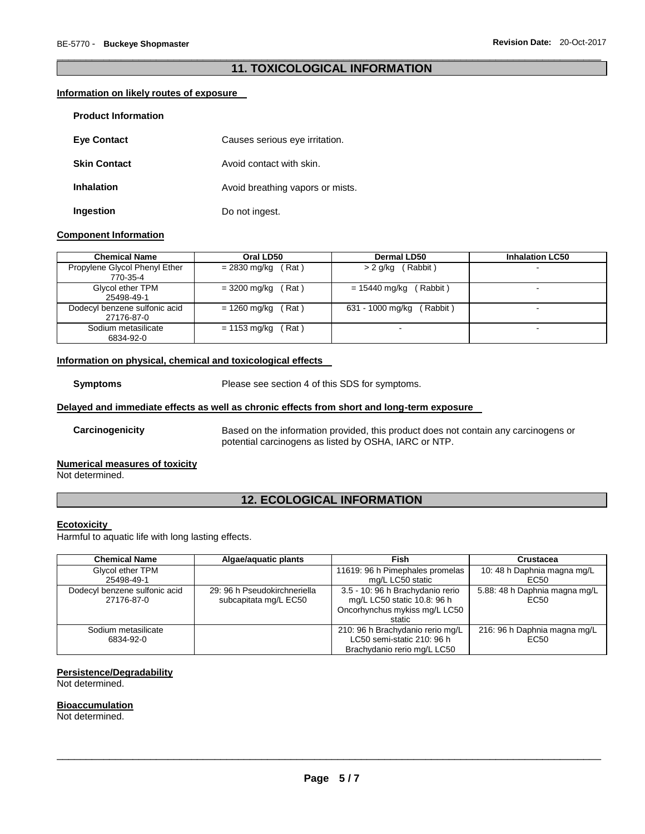## \_\_\_\_\_\_\_\_\_\_\_\_\_\_\_\_\_\_\_\_\_\_\_\_\_\_\_\_\_\_\_\_\_\_\_\_\_\_\_\_\_\_\_\_\_\_\_\_\_\_\_\_\_\_\_\_\_\_\_\_\_\_\_\_\_\_\_\_\_\_\_\_\_\_\_\_\_\_\_\_\_\_\_\_\_\_\_\_\_\_\_\_\_ **11. TOXICOLOGICAL INFORMATION**

## **Information on likely routes of exposure**

| <b>Product Information</b> |                                  |
|----------------------------|----------------------------------|
| <b>Eye Contact</b>         | Causes serious eye irritation.   |
| <b>Skin Contact</b>        | Avoid contact with skin.         |
| <b>Inhalation</b>          | Avoid breathing vapors or mists. |
| Ingestion                  | Do not ingest.                   |

## **Component Information**

| <b>Chemical Name</b>                        | Oral LD50             | <b>Dermal LD50</b>           | <b>Inhalation LC50</b>   |
|---------------------------------------------|-----------------------|------------------------------|--------------------------|
| Propylene Glycol Phenyl Ether<br>770-35-4   | (Rat)<br>= 2830 mg/kg | > 2 g/kg (Rabbit)            |                          |
| Glycol ether TPM<br>25498-49-1              | = 3200 mg/kg<br>(Rat) | (Rabbit)<br>= 15440 mg/kg    | -                        |
| Dodecyl benzene sulfonic acid<br>27176-87-0 | = 1260 mg/kg<br>(Rat) | 631 - 1000 mg/kg<br>(Rabbit) | $\overline{\phantom{a}}$ |
| Sodium metasilicate<br>6834-92-0            | Rat)<br>= 1153 mg/kg  |                              |                          |

#### **Information on physical, chemical and toxicological effects**

**Symptoms** Please see section 4 of this SDS for symptoms.

## **Delayed and immediate effects as well as chronic effects from short and long-term exposure**

**Carcinogenicity** Based on the information provided, this product does not contain any carcinogens or potential carcinogens as listed by OSHA, IARC or NTP.

#### **Numerical measures of toxicity**

Not determined.

# **12. ECOLOGICAL INFORMATION**

#### **Ecotoxicity**

Harmful to aquatic life with long lasting effects.

| <b>Chemical Name</b>                        | Algae/aguatic plants                                  | Fish                                                                                                       | Crustacea                                         |  |  |
|---------------------------------------------|-------------------------------------------------------|------------------------------------------------------------------------------------------------------------|---------------------------------------------------|--|--|
| Glycol ether TPM<br>25498-49-1              |                                                       | 11619: 96 h Pimephales promelas<br>mg/L LC50 static                                                        | 10: 48 h Daphnia magna mg/L<br>EC50               |  |  |
| Dodecyl benzene sulfonic acid<br>27176-87-0 | 29: 96 h Pseudokirchneriella<br>subcapitata mg/L EC50 | 3.5 - 10: 96 h Brachydanio rerio<br>mg/L LC50 static 10.8: 96 h<br>Oncorhynchus mykiss mg/L LC50<br>static | 5.88: 48 h Daphnia magna mg/L<br>EC <sub>50</sub> |  |  |
| Sodium metasilicate<br>6834-92-0            |                                                       | 210: 96 h Brachydanio rerio mg/L<br>LC50 semi-static 210: 96 h<br>Brachydanio rerio mg/L LC50              | 216: 96 h Daphnia magna mg/L<br>EC <sub>50</sub>  |  |  |

# **Persistence/Degradability**

Not determined.

#### **Bioaccumulation**

Not determined.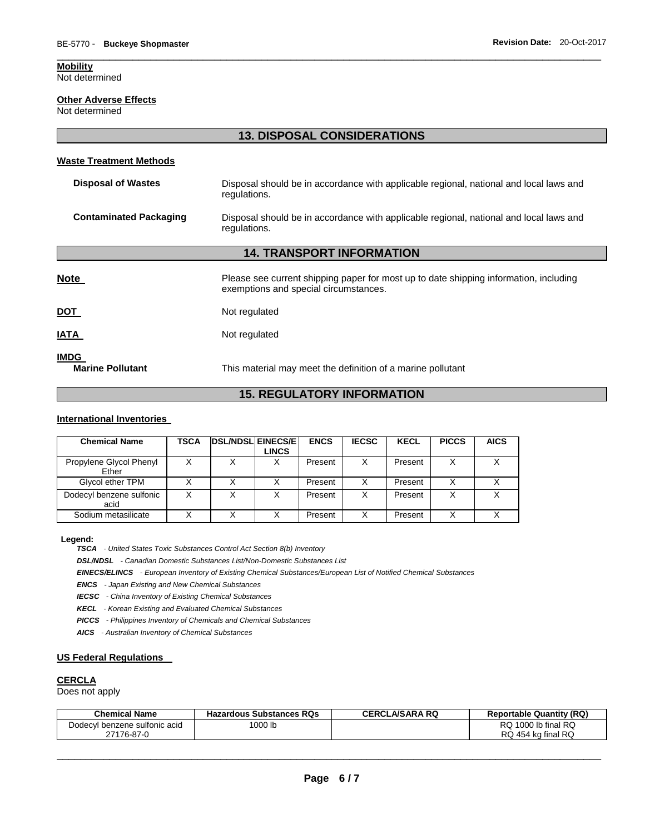## **Mobility**

Not determined

#### **Other Adverse Effects**

Not determined

# **13. DISPOSAL CONSIDERATIONS**

\_\_\_\_\_\_\_\_\_\_\_\_\_\_\_\_\_\_\_\_\_\_\_\_\_\_\_\_\_\_\_\_\_\_\_\_\_\_\_\_\_\_\_\_\_\_\_\_\_\_\_\_\_\_\_\_\_\_\_\_\_\_\_\_\_\_\_\_\_\_\_\_\_\_\_\_\_\_\_\_\_\_\_\_\_\_\_\_\_\_\_\_\_

#### **Waste Treatment Methods**

| <b>Disposal of Wastes</b>                                                                                                               | Disposal should be in accordance with applicable regional, national and local laws and<br>regulations.                         |  |  |  |
|-----------------------------------------------------------------------------------------------------------------------------------------|--------------------------------------------------------------------------------------------------------------------------------|--|--|--|
| <b>Contaminated Packaging</b><br>Disposal should be in accordance with applicable regional, national and local laws and<br>regulations. |                                                                                                                                |  |  |  |
| <b>14. TRANSPORT INFORMATION</b>                                                                                                        |                                                                                                                                |  |  |  |
| <u>Note</u>                                                                                                                             | Please see current shipping paper for most up to date shipping information, including<br>exemptions and special circumstances. |  |  |  |
| <u>DOT</u>                                                                                                                              | Not regulated                                                                                                                  |  |  |  |

**IATA** Not regulated

**IMDG**<br>**Marine Pollutant Marine Pollutant** This material may meet the definition of a marine pollutant

# **15. REGULATORY INFORMATION**

#### **International Inventories**

| <b>Chemical Name</b>             | TSCA | <b>DSL/NDSL EINECS/E</b> | <b>LINCS</b> | <b>ENCS</b> | <b>IECSC</b> | <b>KECL</b> | <b>PICCS</b> | <b>AICS</b> |
|----------------------------------|------|--------------------------|--------------|-------------|--------------|-------------|--------------|-------------|
| Propylene Glycol Phenyl<br>Ether |      |                          |              | Present     | X            | Present     | Χ            |             |
| Glycol ether TPM                 |      | Х                        |              | Present     | Χ            | Present     | Χ            |             |
| Dodecyl benzene sulfonic<br>acid |      | Χ                        |              | Present     | X            | Present     | x            |             |
| Sodium metasilicate              |      |                          |              | Present     | X            | Present     | Χ            |             |

#### **Legend:**

*TSCA - United States Toxic Substances Control Act Section 8(b) Inventory* 

*DSL/NDSL - Canadian Domestic Substances List/Non-Domestic Substances List* 

*EINECS/ELINCS - European Inventory of Existing Chemical Substances/European List of Notified Chemical Substances* 

*ENCS - Japan Existing and New Chemical Substances* 

*IECSC - China Inventory of Existing Chemical Substances* 

*KECL - Korean Existing and Evaluated Chemical Substances* 

*PICCS - Philippines Inventory of Chemicals and Chemical Substances* 

*AICS - Australian Inventory of Chemical Substances* 

## **US Federal Regulations**

#### **CERCLA**

Does not apply

| <b>Chemical Name</b>          | <b>Hazardous Substances RQs</b> | <b>CERCLA/SARA RQ</b> | <b>Reportable Quantity (RQ)</b> |
|-------------------------------|---------------------------------|-----------------------|---------------------------------|
| Dodecyl benzene sulfonic acid | 1000 lb                         |                       | RQ 1000 lb final RQ             |
| 27176-87-0                    |                                 |                       | RQ 454 kg final RQ              |